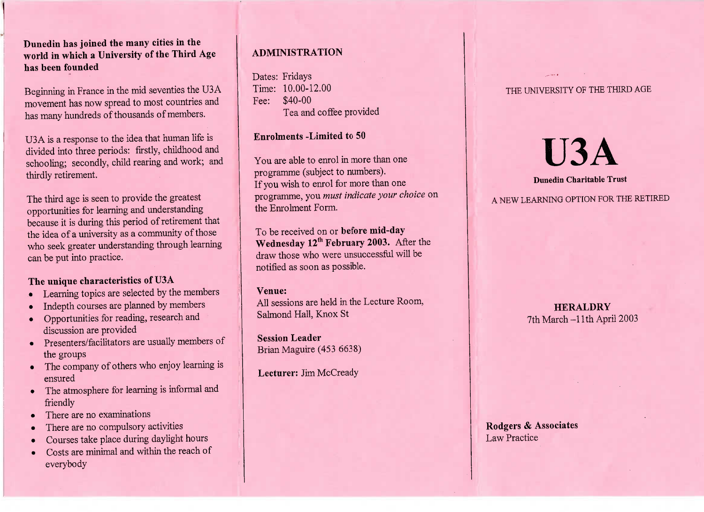**Dunedin has joined the many cities in the world in which a University of the Third Agehas been founded**

Beginning in France in the mid seventies the U3A movement has now spread to most countries andhas many hundreds of thousands of members.

USA is a response to the idea that human life isivided into three periods: firstly, childhood and chooling; secondly, child rearing and work; and thirdly retirement.

The third age is seen to provide the greatestpportunities for learning and understanding because it is during this period of retirement thatthe idea of a university as a community of those who seek greater understanding through learningcan be put into practice.

# **The unique characteristics of U3A**

- Learning topics are selected by the members
- Indepth courses are planned by members
- Opportunities for reading, research anddiscussion are provided
- Presenters/facilitators are usually members ofthe groups
- The company of others who enjoy learning isensured
- The atmosphere for learning is informal andfriendly
- There are no examinations
- There are no compulsory activities
- Courses take place during daylight hours
- Costs are minimal and within the reach of everybody

# **ADMINISTRATION**

ates: Fridays<br>ime: 10.00-12.00 Fee: \$40-00ea and conce provided

## **Enrolments -Limited to 50**

You are able to enrol in more than one programme (subject to numbers). f you wish to enrol for more than one programme, you *must indicate your choice* onthe Enrolment Form.

o be received on or before mid-day<br>Nednesday 12<sup>th</sup> February 2003. Aft **Wednesday** 12th **February 2003.** After thedraw those who were unsuccessful will benotified as soon as possible.

## **Venue:**

All sessions are held in the Lecture Room, Salmond Hall, Knox St

**Session Leader**Brian Maguire (453 6638)

**Lecturer:** Jim McCready

# THE UNIVERSITY OF THE THIRD AGE

# **U3A**

# **Dunedin Charitable Trust**

A NEW LEARNING OPTION FOR THE RETIRED

**HERALDRY HERALDRY** 7th March-llth April 2003

**Rodgers** *&* **Associates**Law Practice